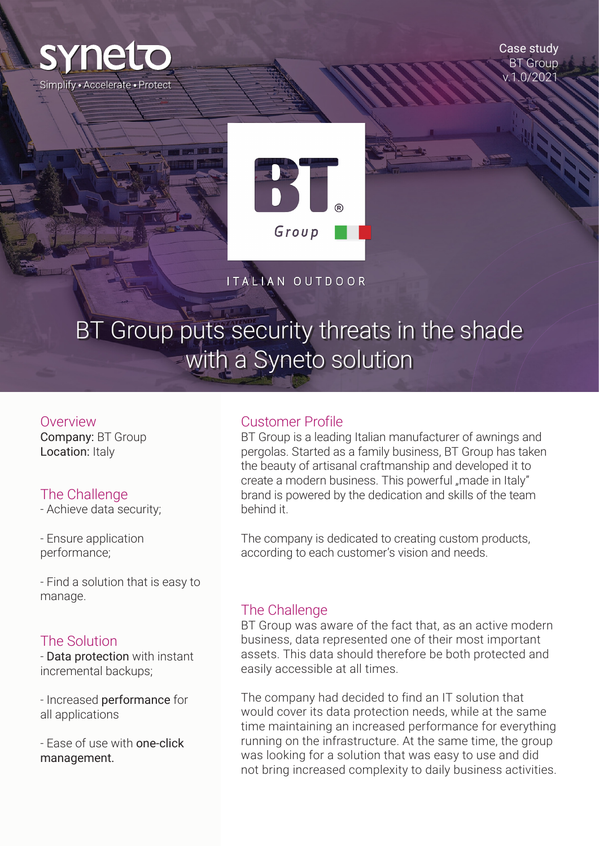

Case study BT Group v.1.0/2021



ITALIAN OUTDOOR

# BT Group puts security threats in the shade with a Syneto solution

Overview

Company: BT Group Location: Italy

# The Challenge

- Achieve data security;

- Ensure application performance;

- Find a solution that is easy to manage.

# The Solution

- Data protection with instant incremental backups;

- Increased performance for all applications

- Ease of use with one-click management.

#### Customer Profile

BT Group is a leading Italian manufacturer of awnings and pergolas. Started as a family business, BT Group has taken the beauty of artisanal craftmanship and developed it to create a modern business. This powerful "made in Italy" brand is powered by the dedication and skills of the team behind it.

The company is dedicated to creating custom products, according to each customer's vision and needs.

# The Challenge

BT Group was aware of the fact that, as an active modern business, data represented one of their most important assets. This data should therefore be both protected and easily accessible at all times.

The company had decided to find an IT solution that would cover its data protection needs, while at the same time maintaining an increased performance for everything running on the infrastructure. At the same time, the group was looking for a solution that was easy to use and did not bring increased complexity to daily business activities.